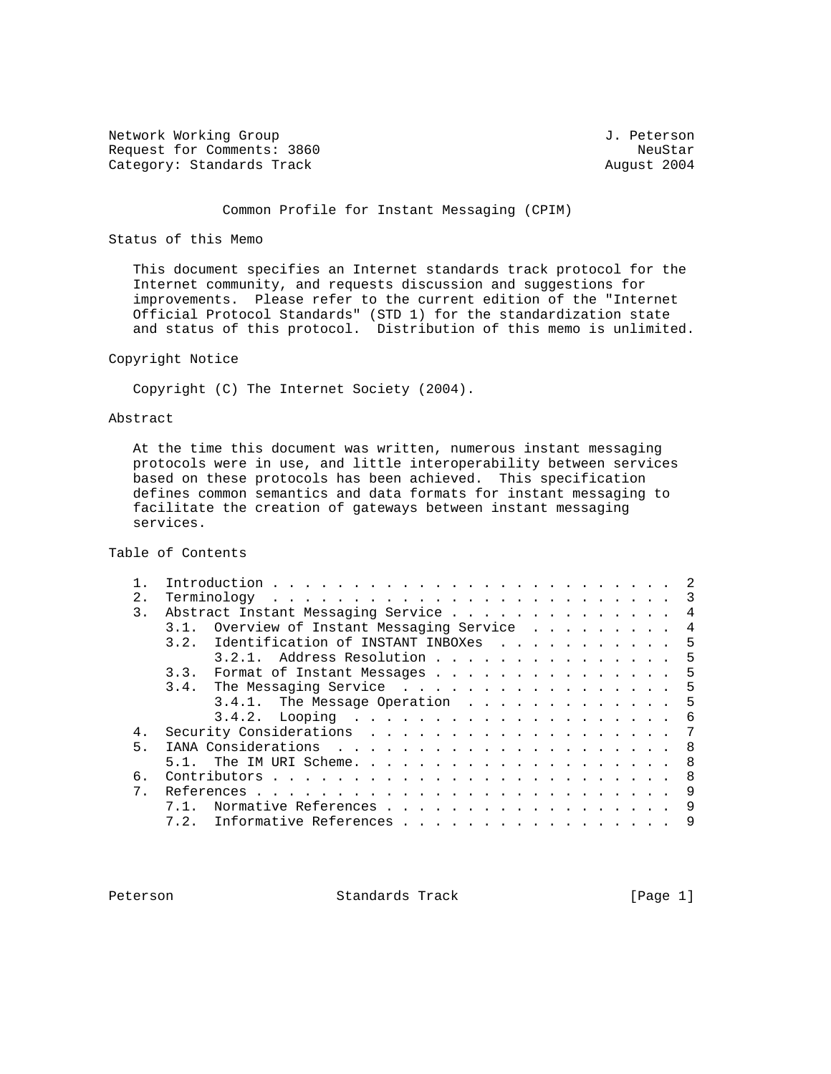Network Working Group 3. 2012 1. Peterson Request for Comments: 3860 NeuStar NeuStar NeuStar NeuStar NeuStar<br>Category: Standards Track News, 2004 Category: Standards Track

## Common Profile for Instant Messaging (CPIM)

### Status of this Memo

 This document specifies an Internet standards track protocol for the Internet community, and requests discussion and suggestions for improvements. Please refer to the current edition of the "Internet Official Protocol Standards" (STD 1) for the standardization state and status of this protocol. Distribution of this memo is unlimited.

### Copyright Notice

Copyright (C) The Internet Society (2004).

### Abstract

 At the time this document was written, numerous instant messaging protocols were in use, and little interoperability between services based on these protocols has been achieved. This specification defines common semantics and data formats for instant messaging to facilitate the creation of gateways between instant messaging services.

## Table of Contents

| 2. | $\mathcal{R}$<br>$Terminology \ldots \ldots \ldots \ldots \ldots \ldots \ldots \ldots \ldots$ |
|----|-----------------------------------------------------------------------------------------------|
| 3. | Abstract Instant Messaging Service<br>4                                                       |
|    | Overview of Instant Messaging Service<br>4                                                    |
|    | Identification of INSTANT INBOXes<br>3.2.<br>5                                                |
|    | 3.2.1. Address Resolution<br>5                                                                |
|    | Format of Instant Messages 5<br>3.3.                                                          |
|    | 3.4. The Messaging Service 5                                                                  |
|    | 3.4.1. The Message Operation<br>.5                                                            |
|    | -6                                                                                            |
| 4. | 7                                                                                             |
| 5. | 8                                                                                             |
|    | -8                                                                                            |
| 6. | $Contributors \ldots \ldots \ldots \ldots \ldots \ldots \ldots \ldots$<br>8                   |
|    | 9                                                                                             |
|    | Normative References<br>9                                                                     |
|    | Informative References<br>9<br>7.2.                                                           |
|    |                                                                                               |

Peterson Standards Track [Page 1]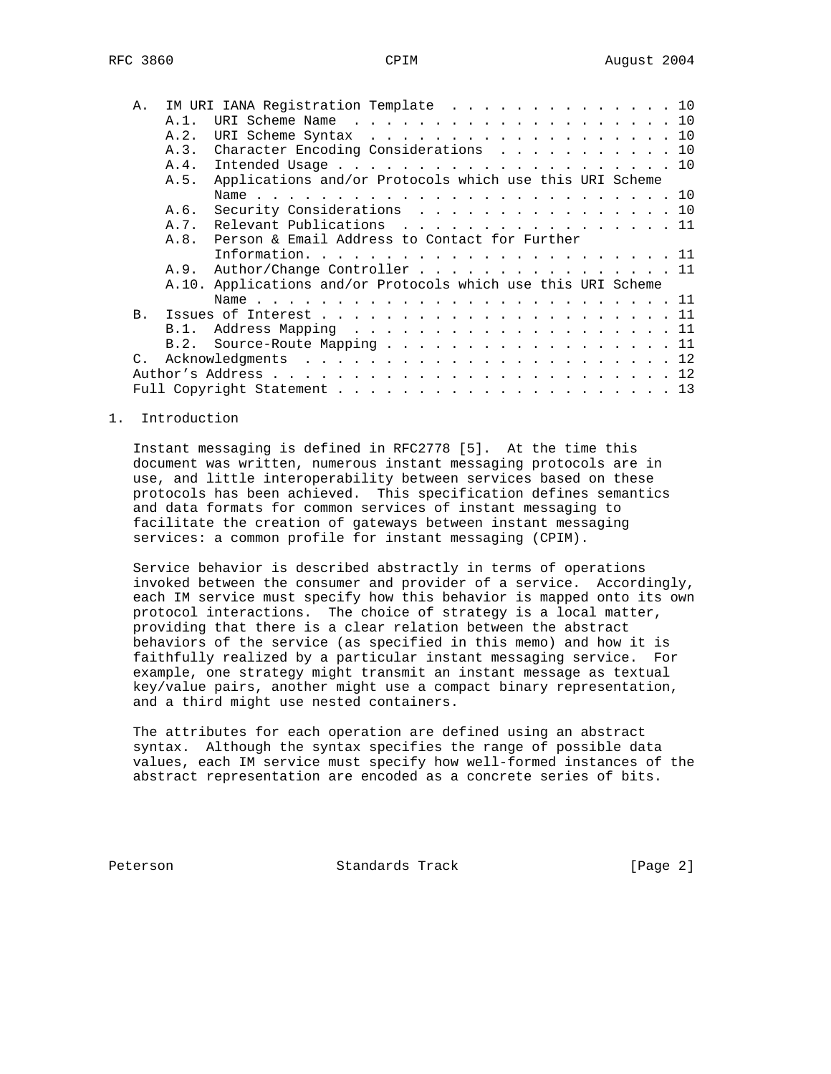| Α.              |         | IM URI IANA Registration Template 10                          |
|-----------------|---------|---------------------------------------------------------------|
|                 | $A.1$ . | URI Scheme Name 10                                            |
|                 | A.2.    | URI Scheme Syntax 10                                          |
|                 | A.3.    | Character Encoding Considerations 10                          |
|                 | A.4.    |                                                               |
|                 | A.5.    | Applications and/or Protocols which use this URI Scheme       |
|                 |         |                                                               |
|                 | A.6.    | Security Considerations 10                                    |
|                 | A. 7.   | Relevant Publications 11                                      |
|                 | A.8.    | Person & Email Address to Contact for Further                 |
|                 |         |                                                               |
|                 |         | A.9. Author/Change Controller 11                              |
|                 |         | A.10. Applications and/or Protocols which use this URI Scheme |
|                 |         |                                                               |
| <b>B.</b>       |         |                                                               |
|                 | B.1.    | Address Mapping 11                                            |
|                 | B.2.    | Source-Route Mapping 11                                       |
| $\mathcal{C}$ . |         |                                                               |
|                 |         |                                                               |
|                 |         |                                                               |
|                 |         |                                                               |

#### 1. Introduction

 Instant messaging is defined in RFC2778 [5]. At the time this document was written, numerous instant messaging protocols are in use, and little interoperability between services based on these protocols has been achieved. This specification defines semantics and data formats for common services of instant messaging to facilitate the creation of gateways between instant messaging services: a common profile for instant messaging (CPIM).

 Service behavior is described abstractly in terms of operations invoked between the consumer and provider of a service. Accordingly, each IM service must specify how this behavior is mapped onto its own protocol interactions. The choice of strategy is a local matter, providing that there is a clear relation between the abstract behaviors of the service (as specified in this memo) and how it is faithfully realized by a particular instant messaging service. For example, one strategy might transmit an instant message as textual key/value pairs, another might use a compact binary representation, and a third might use nested containers.

 The attributes for each operation are defined using an abstract syntax. Although the syntax specifies the range of possible data values, each IM service must specify how well-formed instances of the abstract representation are encoded as a concrete series of bits.

Peterson Standards Track [Page 2]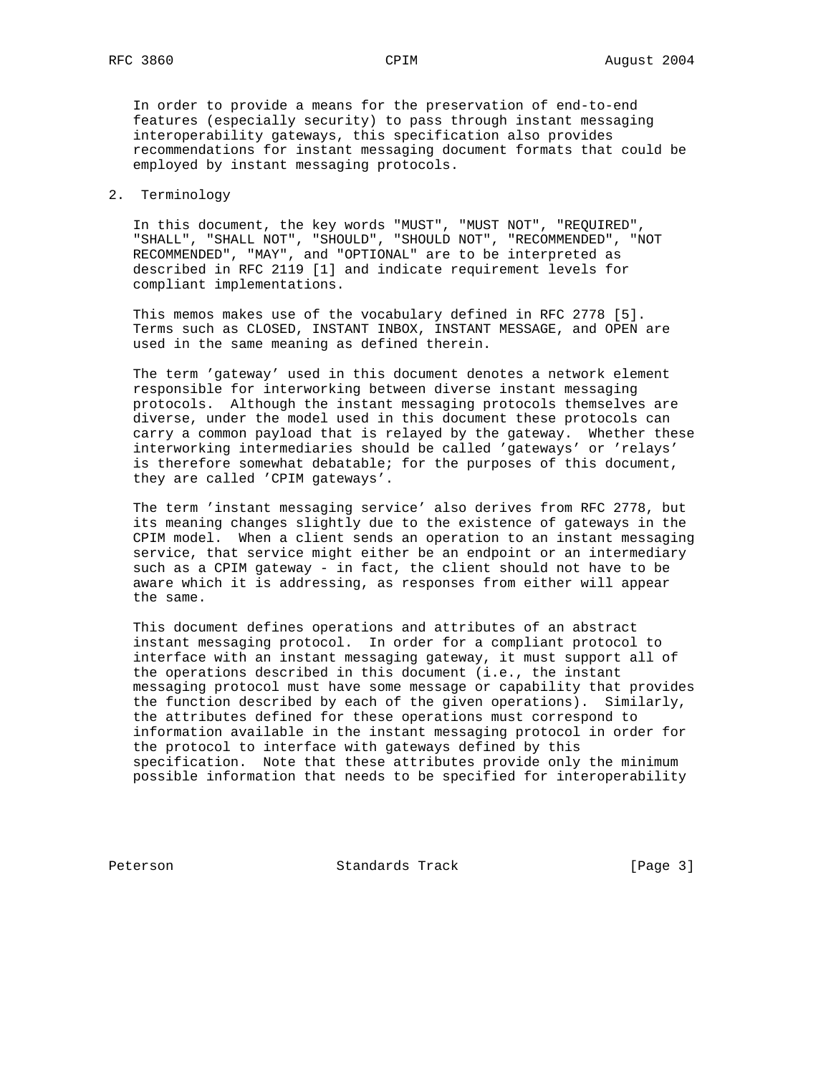In order to provide a means for the preservation of end-to-end features (especially security) to pass through instant messaging interoperability gateways, this specification also provides recommendations for instant messaging document formats that could be employed by instant messaging protocols.

### 2. Terminology

 In this document, the key words "MUST", "MUST NOT", "REQUIRED", "SHALL", "SHALL NOT", "SHOULD", "SHOULD NOT", "RECOMMENDED", "NOT RECOMMENDED", "MAY", and "OPTIONAL" are to be interpreted as described in RFC 2119 [1] and indicate requirement levels for compliant implementations.

 This memos makes use of the vocabulary defined in RFC 2778 [5]. Terms such as CLOSED, INSTANT INBOX, INSTANT MESSAGE, and OPEN are used in the same meaning as defined therein.

 The term 'gateway' used in this document denotes a network element responsible for interworking between diverse instant messaging protocols. Although the instant messaging protocols themselves are diverse, under the model used in this document these protocols can carry a common payload that is relayed by the gateway. Whether these interworking intermediaries should be called 'gateways' or 'relays' is therefore somewhat debatable; for the purposes of this document, they are called 'CPIM gateways'.

 The term 'instant messaging service' also derives from RFC 2778, but its meaning changes slightly due to the existence of gateways in the CPIM model. When a client sends an operation to an instant messaging service, that service might either be an endpoint or an intermediary such as a CPIM gateway - in fact, the client should not have to be aware which it is addressing, as responses from either will appear the same.

 This document defines operations and attributes of an abstract instant messaging protocol. In order for a compliant protocol to interface with an instant messaging gateway, it must support all of the operations described in this document (i.e., the instant messaging protocol must have some message or capability that provides the function described by each of the given operations). Similarly, the attributes defined for these operations must correspond to information available in the instant messaging protocol in order for the protocol to interface with gateways defined by this specification. Note that these attributes provide only the minimum possible information that needs to be specified for interoperability

Peterson Standards Track [Page 3]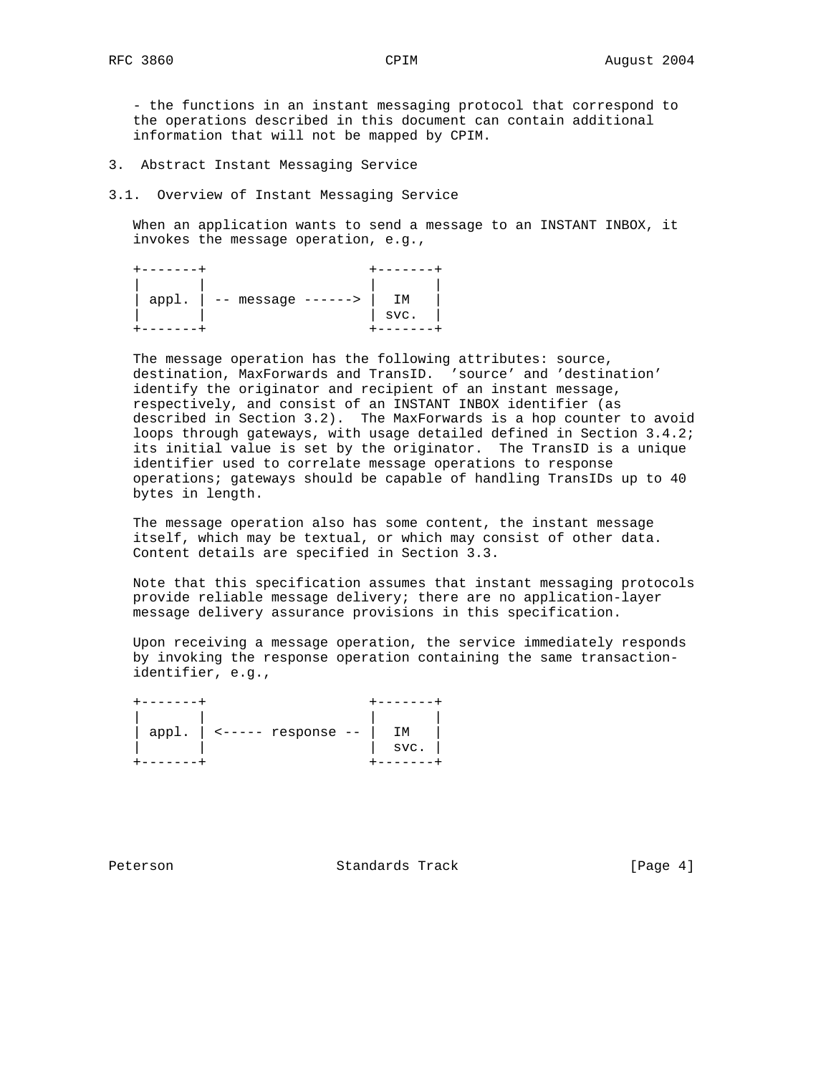- the functions in an instant messaging protocol that correspond to the operations described in this document can contain additional information that will not be mapped by CPIM.

- 3. Abstract Instant Messaging Service
- 3.1. Overview of Instant Messaging Service

 When an application wants to send a message to an INSTANT INBOX, it invokes the message operation, e.g.,

| app1. | -- message<br>-------> | ГΜ   |
|-------|------------------------|------|
|       |                        | SVC. |
|       |                        |      |

 The message operation has the following attributes: source, destination, MaxForwards and TransID. 'source' and 'destination' identify the originator and recipient of an instant message, respectively, and consist of an INSTANT INBOX identifier (as described in Section 3.2). The MaxForwards is a hop counter to avoid loops through gateways, with usage detailed defined in Section 3.4.2; its initial value is set by the originator. The TransID is a unique identifier used to correlate message operations to response operations; gateways should be capable of handling TransIDs up to 40 bytes in length.

 The message operation also has some content, the instant message itself, which may be textual, or which may consist of other data. Content details are specified in Section 3.3.

 Note that this specification assumes that instant messaging protocols provide reliable message delivery; there are no application-layer message delivery assurance provisions in this specification.

 Upon receiving a message operation, the service immediately responds by invoking the response operation containing the same transaction identifier, e.g.,

| app1. | $\textrm{---}$ response -- | SVC. |
|-------|----------------------------|------|
|       |                            |      |

Peterson Standards Track [Page 4]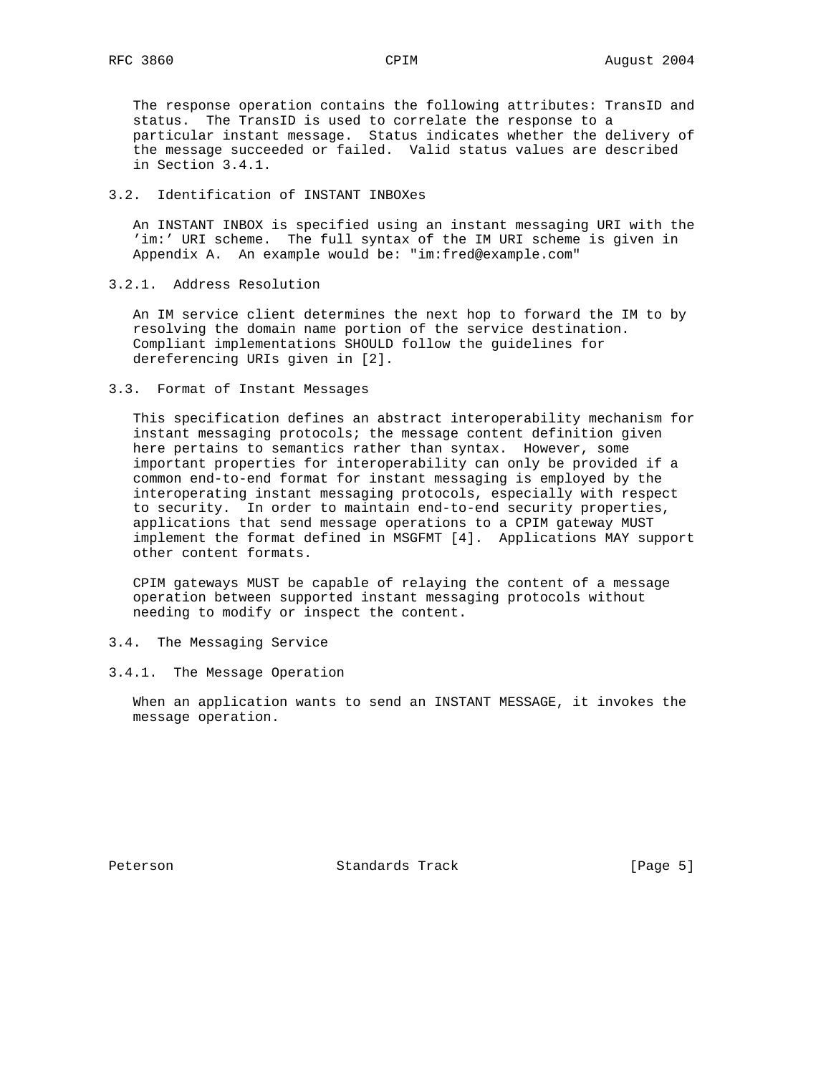The response operation contains the following attributes: TransID and status. The TransID is used to correlate the response to a particular instant message. Status indicates whether the delivery of the message succeeded or failed. Valid status values are described in Section 3.4.1.

# 3.2. Identification of INSTANT INBOXes

 An INSTANT INBOX is specified using an instant messaging URI with the 'im:' URI scheme. The full syntax of the IM URI scheme is given in Appendix A. An example would be: "im:fred@example.com"

### 3.2.1. Address Resolution

 An IM service client determines the next hop to forward the IM to by resolving the domain name portion of the service destination. Compliant implementations SHOULD follow the guidelines for dereferencing URIs given in [2].

#### 3.3. Format of Instant Messages

 This specification defines an abstract interoperability mechanism for instant messaging protocols; the message content definition given here pertains to semantics rather than syntax. However, some important properties for interoperability can only be provided if a common end-to-end format for instant messaging is employed by the interoperating instant messaging protocols, especially with respect to security. In order to maintain end-to-end security properties, applications that send message operations to a CPIM gateway MUST implement the format defined in MSGFMT [4]. Applications MAY support other content formats.

 CPIM gateways MUST be capable of relaying the content of a message operation between supported instant messaging protocols without needing to modify or inspect the content.

### 3.4. The Messaging Service

#### 3.4.1. The Message Operation

 When an application wants to send an INSTANT MESSAGE, it invokes the message operation.

Peterson Standards Track [Page 5]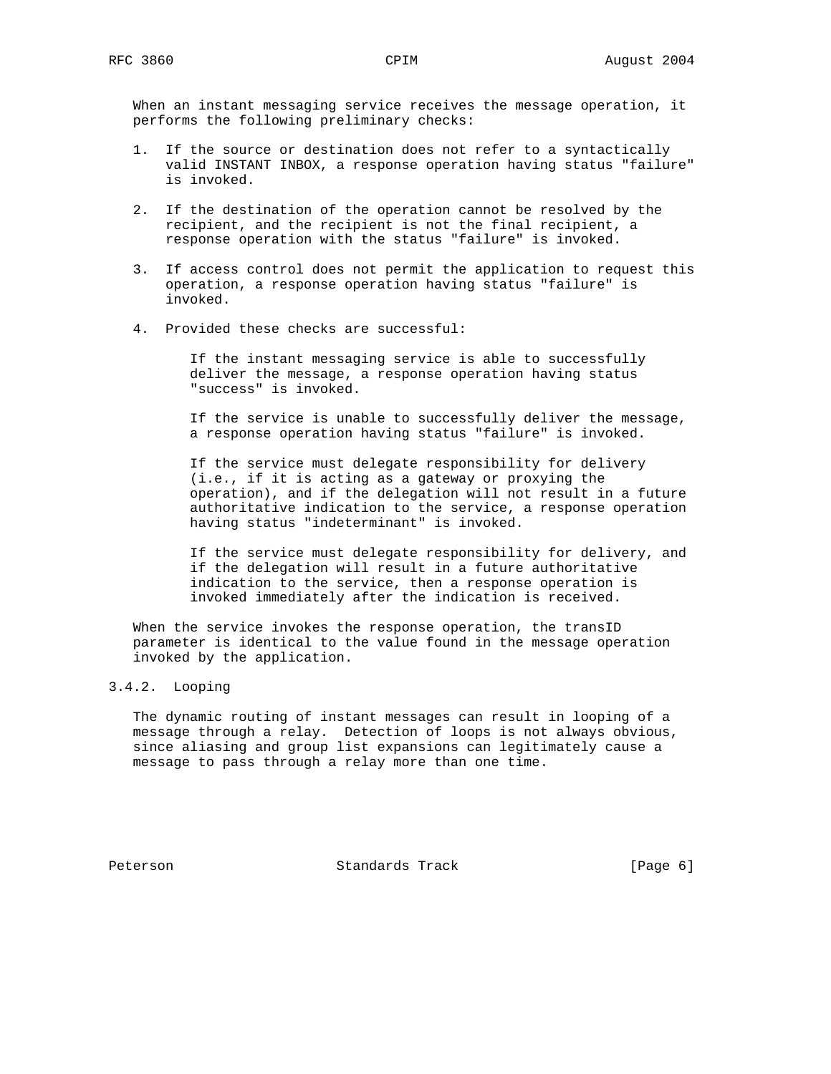When an instant messaging service receives the message operation, it performs the following preliminary checks:

- 1. If the source or destination does not refer to a syntactically valid INSTANT INBOX, a response operation having status "failure" is invoked.
- 2. If the destination of the operation cannot be resolved by the recipient, and the recipient is not the final recipient, a response operation with the status "failure" is invoked.
- 3. If access control does not permit the application to request this operation, a response operation having status "failure" is invoked.
- 4. Provided these checks are successful:

 If the instant messaging service is able to successfully deliver the message, a response operation having status "success" is invoked.

 If the service is unable to successfully deliver the message, a response operation having status "failure" is invoked.

 If the service must delegate responsibility for delivery (i.e., if it is acting as a gateway or proxying the operation), and if the delegation will not result in a future authoritative indication to the service, a response operation having status "indeterminant" is invoked.

 If the service must delegate responsibility for delivery, and if the delegation will result in a future authoritative indication to the service, then a response operation is invoked immediately after the indication is received.

 When the service invokes the response operation, the transID parameter is identical to the value found in the message operation invoked by the application.

## 3.4.2. Looping

 The dynamic routing of instant messages can result in looping of a message through a relay. Detection of loops is not always obvious, since aliasing and group list expansions can legitimately cause a message to pass through a relay more than one time.

Peterson Standards Track [Page 6]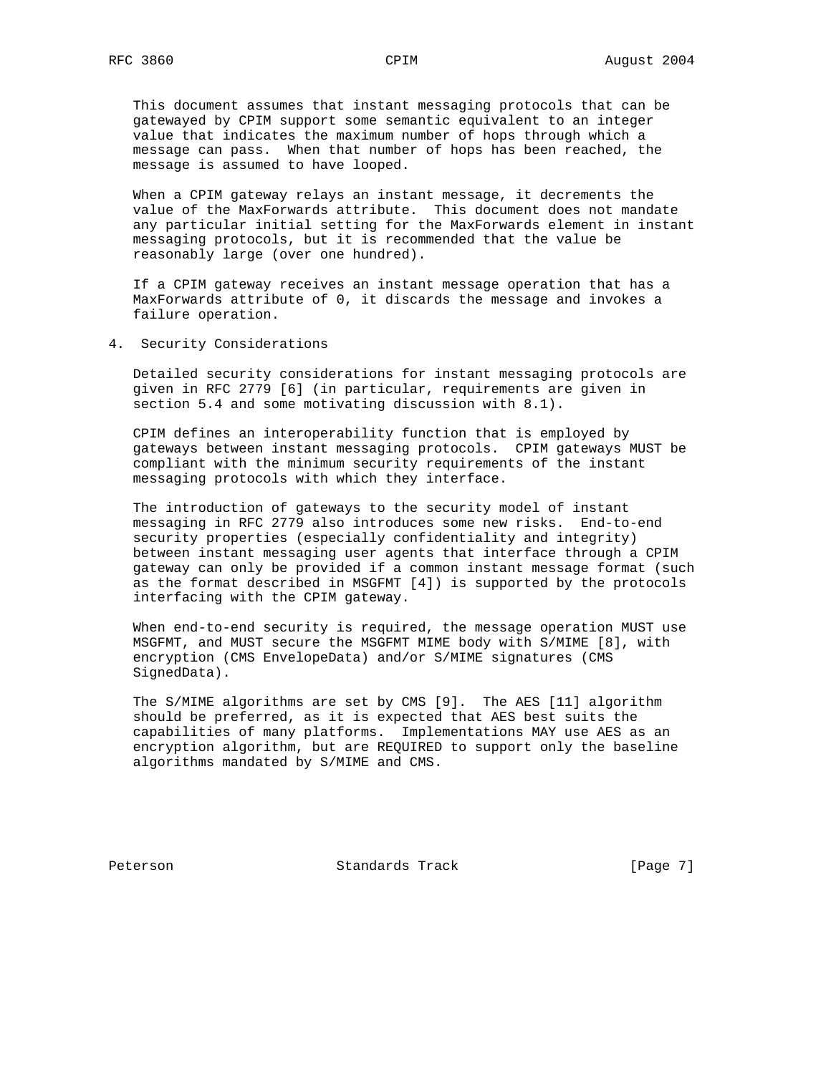This document assumes that instant messaging protocols that can be gatewayed by CPIM support some semantic equivalent to an integer value that indicates the maximum number of hops through which a message can pass. When that number of hops has been reached, the message is assumed to have looped.

 When a CPIM gateway relays an instant message, it decrements the value of the MaxForwards attribute. This document does not mandate any particular initial setting for the MaxForwards element in instant messaging protocols, but it is recommended that the value be reasonably large (over one hundred).

 If a CPIM gateway receives an instant message operation that has a MaxForwards attribute of 0, it discards the message and invokes a failure operation.

4. Security Considerations

 Detailed security considerations for instant messaging protocols are given in RFC 2779 [6] (in particular, requirements are given in section 5.4 and some motivating discussion with 8.1).

 CPIM defines an interoperability function that is employed by gateways between instant messaging protocols. CPIM gateways MUST be compliant with the minimum security requirements of the instant messaging protocols with which they interface.

 The introduction of gateways to the security model of instant messaging in RFC 2779 also introduces some new risks. End-to-end security properties (especially confidentiality and integrity) between instant messaging user agents that interface through a CPIM gateway can only be provided if a common instant message format (such as the format described in MSGFMT [4]) is supported by the protocols interfacing with the CPIM gateway.

 When end-to-end security is required, the message operation MUST use MSGFMT, and MUST secure the MSGFMT MIME body with S/MIME [8], with encryption (CMS EnvelopeData) and/or S/MIME signatures (CMS SignedData).

 The S/MIME algorithms are set by CMS [9]. The AES [11] algorithm should be preferred, as it is expected that AES best suits the capabilities of many platforms. Implementations MAY use AES as an encryption algorithm, but are REQUIRED to support only the baseline algorithms mandated by S/MIME and CMS.

Peterson Standards Track [Page 7]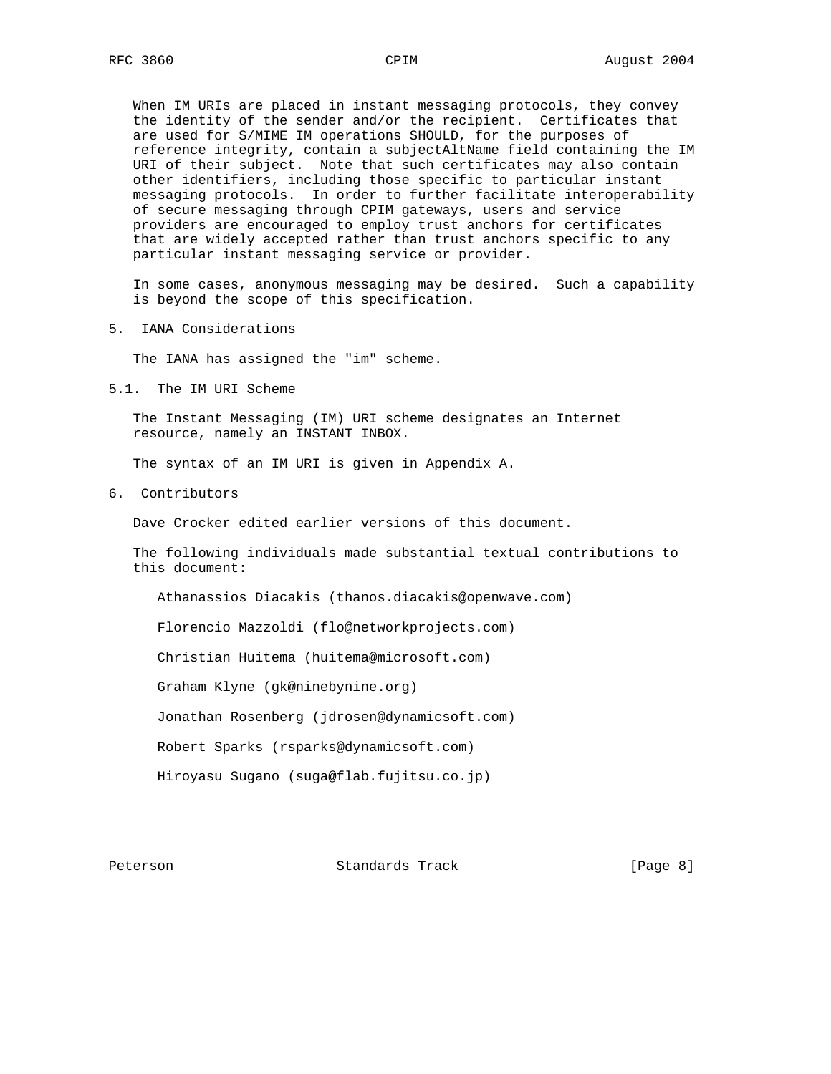When IM URIs are placed in instant messaging protocols, they convey the identity of the sender and/or the recipient. Certificates that are used for S/MIME IM operations SHOULD, for the purposes of reference integrity, contain a subjectAltName field containing the IM URI of their subject. Note that such certificates may also contain other identifiers, including those specific to particular instant messaging protocols. In order to further facilitate interoperability of secure messaging through CPIM gateways, users and service providers are encouraged to employ trust anchors for certificates that are widely accepted rather than trust anchors specific to any particular instant messaging service or provider.

 In some cases, anonymous messaging may be desired. Such a capability is beyond the scope of this specification.

5. IANA Considerations

The IANA has assigned the "im" scheme.

5.1. The IM URI Scheme

 The Instant Messaging (IM) URI scheme designates an Internet resource, namely an INSTANT INBOX.

The syntax of an IM URI is given in Appendix A.

6. Contributors

Dave Crocker edited earlier versions of this document.

 The following individuals made substantial textual contributions to this document:

Athanassios Diacakis (thanos.diacakis@openwave.com)

Florencio Mazzoldi (flo@networkprojects.com)

Christian Huitema (huitema@microsoft.com)

Graham Klyne (gk@ninebynine.org)

Jonathan Rosenberg (jdrosen@dynamicsoft.com)

Robert Sparks (rsparks@dynamicsoft.com)

Hiroyasu Sugano (suga@flab.fujitsu.co.jp)

Peterson Standards Track [Page 8]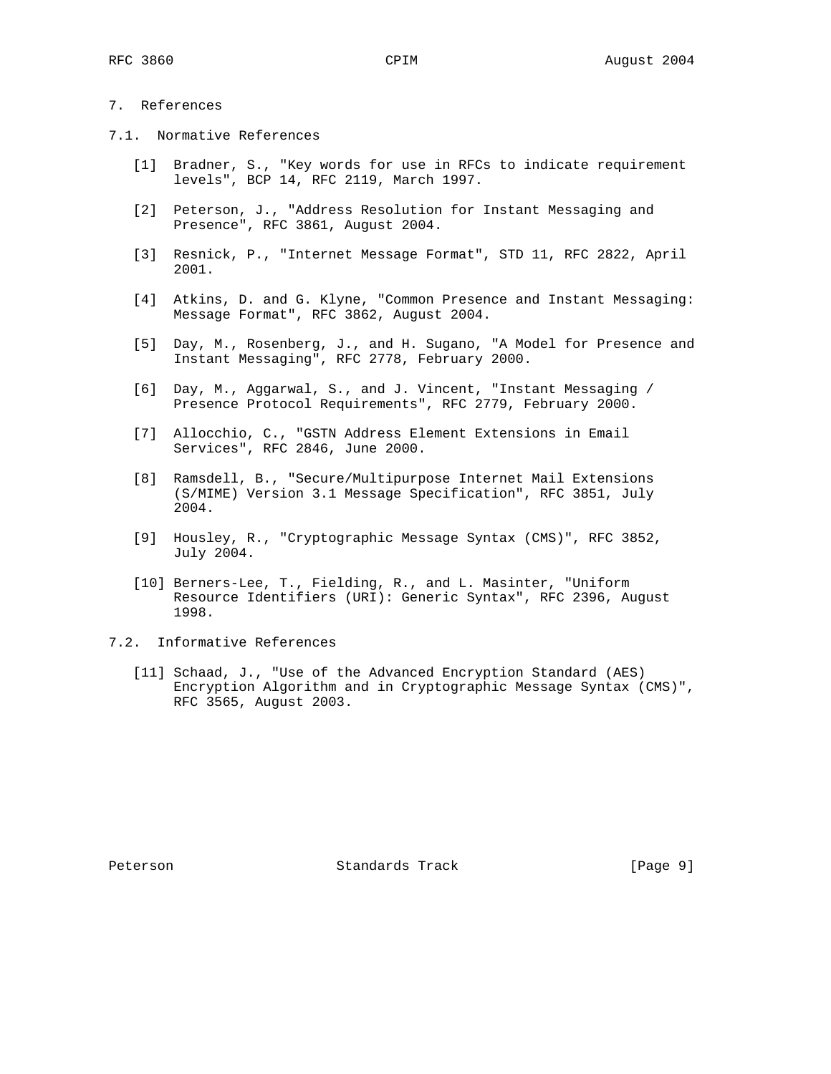## 7. References

- 7.1. Normative References
	- [1] Bradner, S., "Key words for use in RFCs to indicate requirement levels", BCP 14, RFC 2119, March 1997.
	- [2] Peterson, J., "Address Resolution for Instant Messaging and Presence", RFC 3861, August 2004.
	- [3] Resnick, P., "Internet Message Format", STD 11, RFC 2822, April 2001.
	- [4] Atkins, D. and G. Klyne, "Common Presence and Instant Messaging: Message Format", RFC 3862, August 2004.
	- [5] Day, M., Rosenberg, J., and H. Sugano, "A Model for Presence and Instant Messaging", RFC 2778, February 2000.
	- [6] Day, M., Aggarwal, S., and J. Vincent, "Instant Messaging / Presence Protocol Requirements", RFC 2779, February 2000.
	- [7] Allocchio, C., "GSTN Address Element Extensions in Email Services", RFC 2846, June 2000.
	- [8] Ramsdell, B., "Secure/Multipurpose Internet Mail Extensions (S/MIME) Version 3.1 Message Specification", RFC 3851, July 2004.
	- [9] Housley, R., "Cryptographic Message Syntax (CMS)", RFC 3852, July 2004.
	- [10] Berners-Lee, T., Fielding, R., and L. Masinter, "Uniform Resource Identifiers (URI): Generic Syntax", RFC 2396, August 1998.
- 7.2. Informative References
	- [11] Schaad, J., "Use of the Advanced Encryption Standard (AES) Encryption Algorithm and in Cryptographic Message Syntax (CMS)", RFC 3565, August 2003.

Peterson Standards Track [Page 9]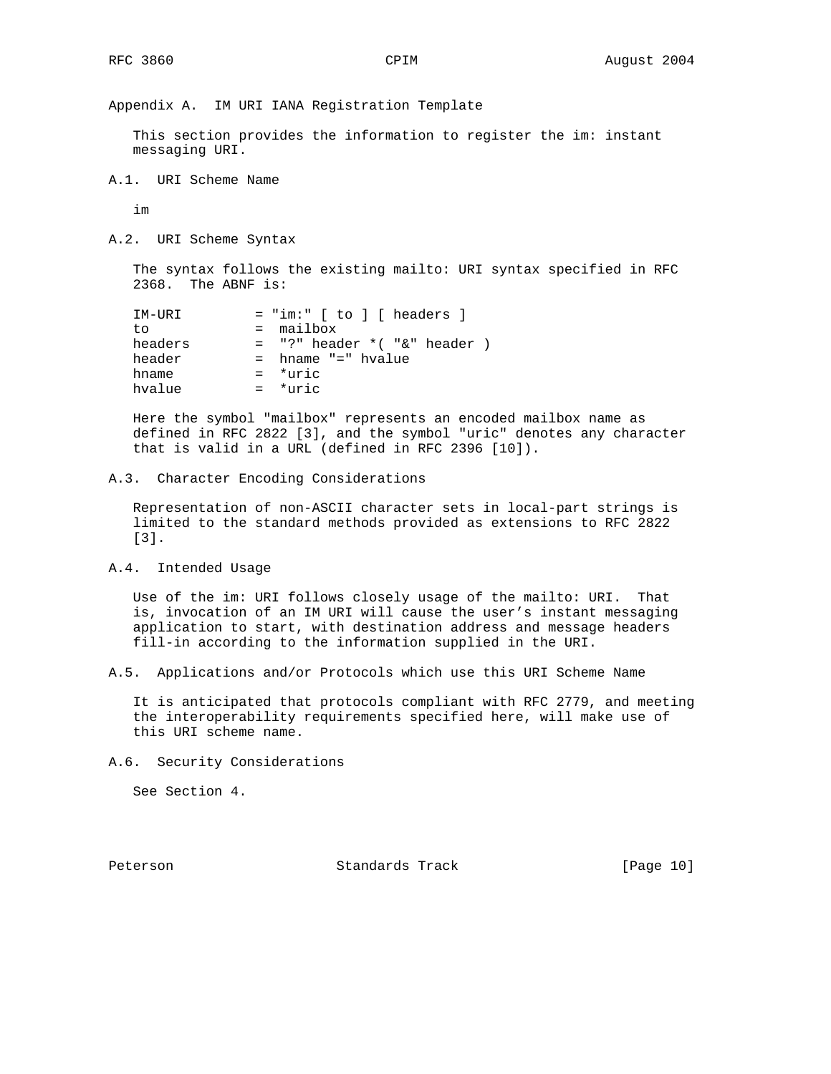Appendix A. IM URI IANA Registration Template

 This section provides the information to register the im: instant messaging URI.

A.1. URI Scheme Name

im

A.2. URI Scheme Syntax

 The syntax follows the existing mailto: URI syntax specified in RFC 2368. The ABNF is:

| IM-URI  | $=$ "im:" [ to ] [ headers ]       |
|---------|------------------------------------|
| tο      | $=$ mailbox                        |
| headers | $=$ "?" header $*($ "&" header $)$ |
| header  | $=$ hname "=" hvalue               |
| hname   | $=$ *uric                          |
| hvalue  | $=$ *uric                          |

 Here the symbol "mailbox" represents an encoded mailbox name as defined in RFC 2822 [3], and the symbol "uric" denotes any character that is valid in a URL (defined in RFC 2396 [10]).

#### A.3. Character Encoding Considerations

 Representation of non-ASCII character sets in local-part strings is limited to the standard methods provided as extensions to RFC 2822 [3].

A.4. Intended Usage

 Use of the im: URI follows closely usage of the mailto: URI. That is, invocation of an IM URI will cause the user's instant messaging application to start, with destination address and message headers fill-in according to the information supplied in the URI.

A.5. Applications and/or Protocols which use this URI Scheme Name

 It is anticipated that protocols compliant with RFC 2779, and meeting the interoperability requirements specified here, will make use of this URI scheme name.

A.6. Security Considerations

See Section 4.

Peterson Standards Track [Page 10]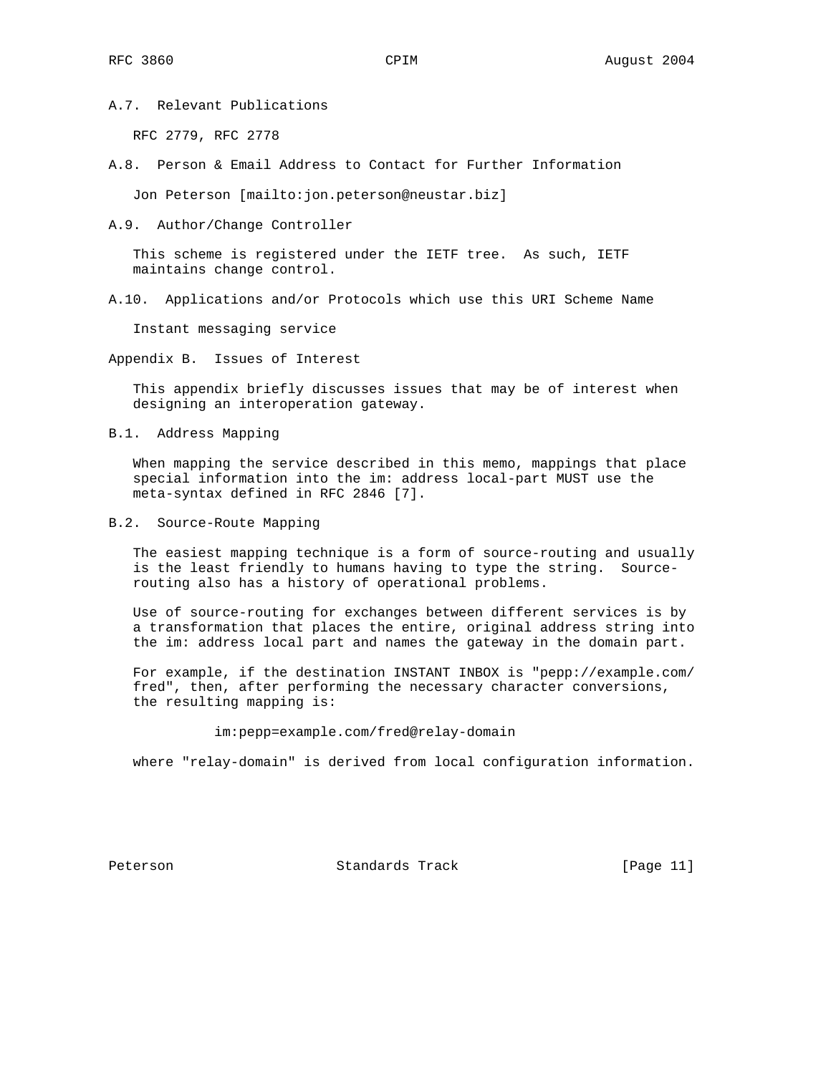A.7. Relevant Publications

RFC 2779, RFC 2778

A.8. Person & Email Address to Contact for Further Information

Jon Peterson [mailto:jon.peterson@neustar.biz]

A.9. Author/Change Controller

 This scheme is registered under the IETF tree. As such, IETF maintains change control.

A.10. Applications and/or Protocols which use this URI Scheme Name

Instant messaging service

Appendix B. Issues of Interest

 This appendix briefly discusses issues that may be of interest when designing an interoperation gateway.

B.1. Address Mapping

 When mapping the service described in this memo, mappings that place special information into the im: address local-part MUST use the meta-syntax defined in RFC 2846 [7].

B.2. Source-Route Mapping

 The easiest mapping technique is a form of source-routing and usually is the least friendly to humans having to type the string. Source routing also has a history of operational problems.

 Use of source-routing for exchanges between different services is by a transformation that places the entire, original address string into the im: address local part and names the gateway in the domain part.

 For example, if the destination INSTANT INBOX is "pepp://example.com/ fred", then, after performing the necessary character conversions, the resulting mapping is:

im:pepp=example.com/fred@relay-domain

where "relay-domain" is derived from local configuration information.

Peterson Standards Track [Page 11]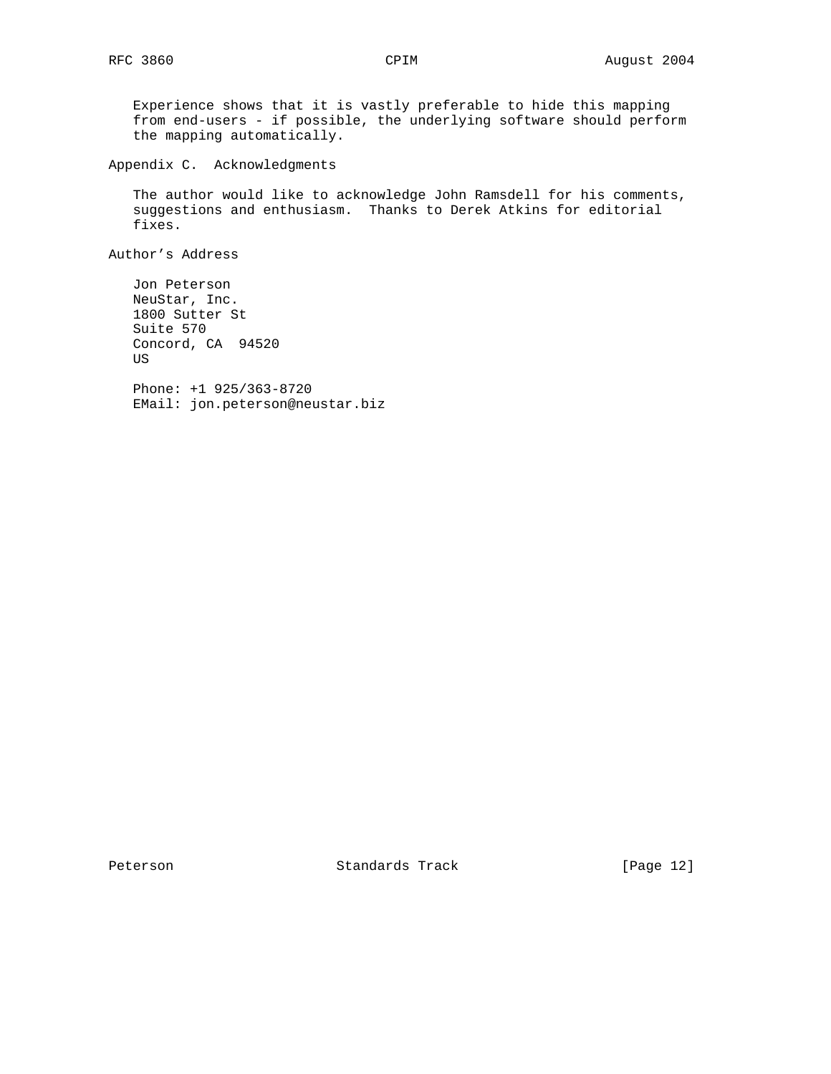Experience shows that it is vastly preferable to hide this mapping from end-users - if possible, the underlying software should perform the mapping automatically.

Appendix C. Acknowledgments

 The author would like to acknowledge John Ramsdell for his comments, suggestions and enthusiasm. Thanks to Derek Atkins for editorial fixes.

Author's Address

 Jon Peterson NeuStar, Inc. 1800 Sutter St Suite 570 Concord, CA 94520 US Phone: +1 925/363-8720 EMail: jon.peterson@neustar.biz

Peterson Standards Track [Page 12]